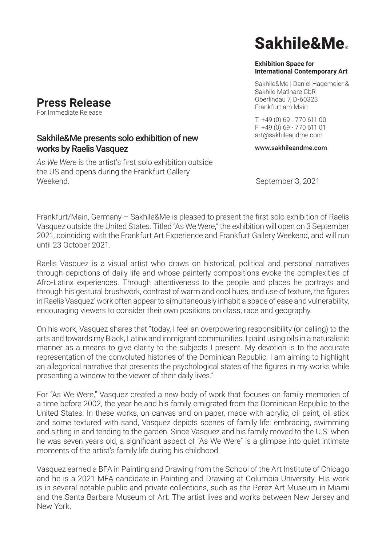# Sakhile&Me

#### **Exhibition Space for International Contemporary Art**

Sakhile&Me | Daniel Hagemeier & Sakhile Matlhare GbR Oberlindau 7, D-60323 Frankfurt am Main

T +49 (0) 69 - 770 611 00 F +49 (0) 69 - 770 611 01 art@sakhileandme.com

www.sakhileandme.com

Frankfurt/Main, Germany – Sakhile&Me is pleased to present the first solo exhibition of Raelis Vasquez outside the United States. Titled "As We Were," the exhibition will open on 3 September 2021, coinciding with the Frankfurt Art Experience and Frankfurt Gallery Weekend, and will run until 23 October 2021.

Raelis Vasquez is a visual artist who draws on historical, political and personal narratives through depictions of daily life and whose painterly compositions evoke the complexities of Afro-Latinx experiences. Through attentiveness to the people and places he portrays and through his gestural brushwork, contrast of warm and cool hues, and use of texture, the figures in Raelis Vasquez' work often appear to simultaneously inhabit a space of ease and vulnerability, encouraging viewers to consider their own positions on class, race and geography.

On his work, Vasquez shares that "today, I feel an overpowering responsibility (or calling) to the arts and towards my Black, Latinx and immigrant communities. I paint using oils in a naturalistic manner as a means to give clarity to the subjects I present. My devotion is to the accurate representation of the convoluted histories of the Dominican Republic. I am aiming to highlight an allegorical narrative that presents the psychological states of the figures in my works while presenting a window to the viewer of their daily lives."

For "As We Were," Vasquez created a new body of work that focuses on family memories of a time before 2002, the year he and his family emigrated from the Dominican Republic to the United States. In these works, on canvas and on paper, made with acrylic, oil paint, oil stick and some textured with sand, Vasquez depicts scenes of family life: embracing, swimming and sitting in and tending to the garden. Since Vasquez and his family moved to the U.S. when he was seven years old, a significant aspect of "As We Were" is a glimpse into quiet intimate moments of the artist's family life during his childhood.

Vasquez earned a BFA in Painting and Drawing from the School of the Art Institute of Chicago and he is a 2021 MFA candidate in Painting and Drawing at Columbia University. His work is in several notable public and private collections, such as the Perez Art Museum in Miami and the Santa Barbara Museum of Art. The artist lives and works between New Jersey and New York.

# **Press Release**

For Immediate Release

## Sakhile&Me presents solo exhibition of new works by Raelis Vasquez

*As We Were* is the artist's first solo exhibition outside the US and opens during the Frankfurt Gallery Weekend. September 3, 2021